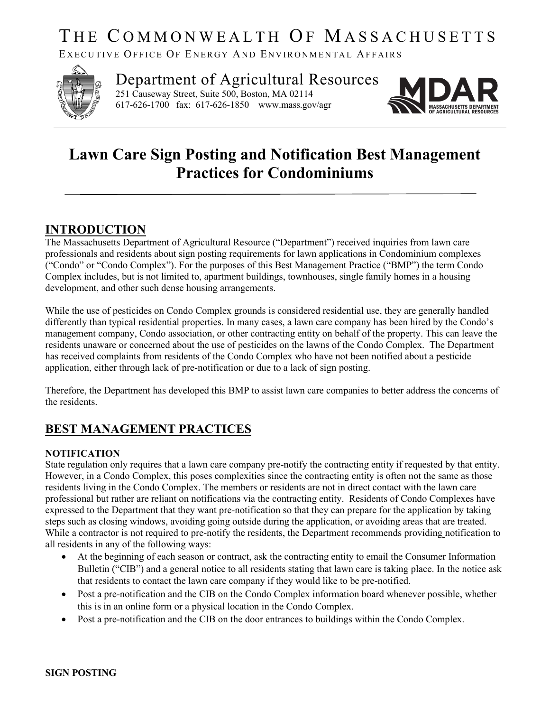# THE COMMONWEALTH OF MASSACHUSETTS

EXECUTIVE OFFICE OF ENERGY AND ENVIRONMENTAL AFFAIRS



Department of Agricultural Resources 251 Causeway Street, Suite 500, Boston, MA 02114 617-626-1700 fax: 617-626-1850 www.mass.gov/agr



## **Lawn Care Sign Posting and Notification Best Management Practices for Condominiums**

### **INTRODUCTION**

The Massachusetts Department of Agricultural Resource ("Department") received inquiries from lawn care professionals and residents about sign posting requirements for lawn applications in Condominium complexes ("Condo" or "Condo Complex"). For the purposes of this Best Management Practice ("BMP") the term Condo Complex includes, but is not limited to, apartment buildings, townhouses, single family homes in a housing development, and other such dense housing arrangements.

While the use of pesticides on Condo Complex grounds is considered residential use, they are generally handled differently than typical residential properties. In many cases, a lawn care company has been hired by the Condo's management company, Condo association, or other contracting entity on behalf of the property. This can leave the residents unaware or concerned about the use of pesticides on the lawns of the Condo Complex. The Department has received complaints from residents of the Condo Complex who have not been notified about a pesticide application, either through lack of pre-notification or due to a lack of sign posting.

Therefore, the Department has developed this BMP to assist lawn care companies to better address the concerns of the residents.

## **BEST MANAGEMENT PRACTICES**

#### **NOTIFICATION**

State regulation only requires that a lawn care company pre-notify the contracting entity if requested by that entity. However, in a Condo Complex, this poses complexities since the contracting entity is often not the same as those residents living in the Condo Complex. The members or residents are not in direct contact with the lawn care professional but rather are reliant on notifications via the contracting entity. Residents of Condo Complexes have expressed to the Department that they want pre-notification so that they can prepare for the application by taking steps such as closing windows, avoiding going outside during the application, or avoiding areas that are treated. While a contractor is not required to pre-notify the residents, the Department recommends providing notification to all residents in any of the following ways:

- At the beginning of each season or contract, ask the contracting entity to email the Consumer Information Bulletin ("CIB") and a general notice to all residents stating that lawn care is taking place. In the notice ask that residents to contact the lawn care company if they would like to be pre-notified.
- Post a pre-notification and the CIB on the Condo Complex information board whenever possible, whether this is in an online form or a physical location in the Condo Complex.
- Post a pre-notification and the CIB on the door entrances to buildings within the Condo Complex.